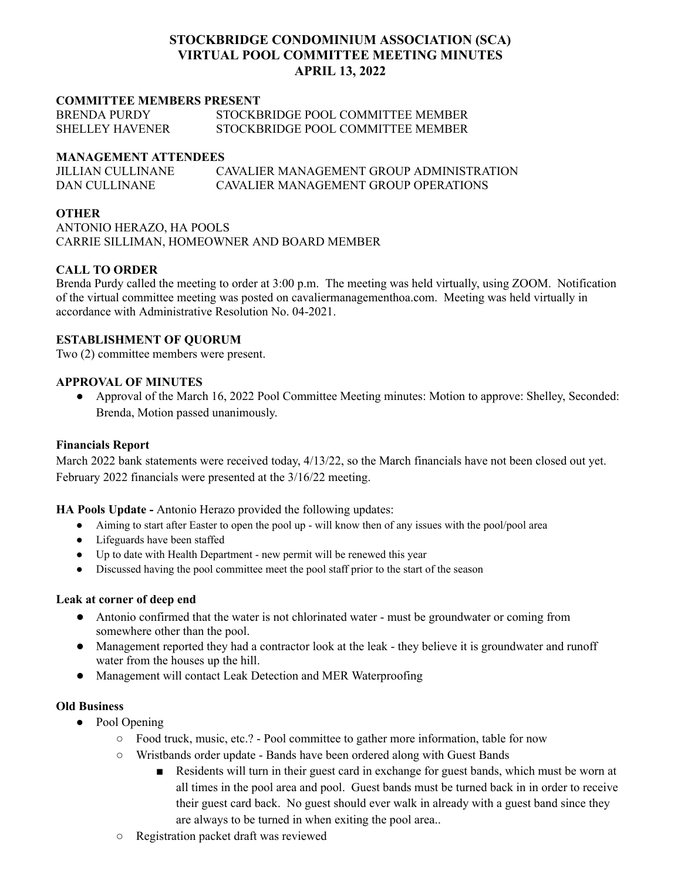# **STOCKBRIDGE CONDOMINIUM ASSOCIATION (SCA) VIRTUAL POOL COMMITTEE MEETING MINUTES APRIL 13, 2022**

## **COMMITTEE MEMBERS PRESENT**

| <b>BRENDA PURDY</b>    | STOCKBRIDGE POOL COMMITTEE MEMBER |
|------------------------|-----------------------------------|
| <b>SHELLEY HAVENER</b> | STOCKBRIDGE POOL COMMITTEE MEMBER |

#### **MANAGEMENT ATTENDEES**

| JILLIAN CULLINANE | CAVALIER MANAGEMENT GROUP ADMINISTRATION |
|-------------------|------------------------------------------|
| DAN CULLINANE     | CAVALIER MANAGEMENT GROUP OPER ATIONS    |

## **OTHER**

ANTONIO HERAZO, HA POOLS CARRIE SILLIMAN, HOMEOWNER AND BOARD MEMBER

## **CALL TO ORDER**

Brenda Purdy called the meeting to order at 3:00 p.m. The meeting was held virtually, using ZOOM. Notification of the virtual committee meeting was posted on cavaliermanagementhoa.com. Meeting was held virtually in accordance with Administrative Resolution No. 04-2021.

## **ESTABLISHMENT OF QUORUM**

Two (2) committee members were present.

#### **APPROVAL OF MINUTES**

● Approval of the March 16, 2022 Pool Committee Meeting minutes: Motion to approve: Shelley, Seconded: Brenda, Motion passed unanimously.

#### **Financials Report**

March 2022 bank statements were received today, 4/13/22, so the March financials have not been closed out yet. February 2022 financials were presented at the 3/16/22 meeting.

#### **HA Pools Update -** Antonio Herazo provided the following updates:

- Aiming to start after Easter to open the pool up will know then of any issues with the pool/pool area
- Lifeguards have been staffed
- Up to date with Health Department new permit will be renewed this year
- Discussed having the pool committee meet the pool staff prior to the start of the season

## **Leak at corner of deep end**

- Antonio confirmed that the water is not chlorinated water must be groundwater or coming from somewhere other than the pool.
- Management reported they had a contractor look at the leak they believe it is groundwater and runoff water from the houses up the hill.
- Management will contact Leak Detection and MER Waterproofing

## **Old Business**

- Pool Opening
	- Food truck, music, etc.? Pool committee to gather more information, table for now
	- Wristbands order update Bands have been ordered along with Guest Bands
		- Residents will turn in their guest card in exchange for guest bands, which must be worn at all times in the pool area and pool. Guest bands must be turned back in in order to receive their guest card back. No guest should ever walk in already with a guest band since they are always to be turned in when exiting the pool area..
	- Registration packet draft was reviewed